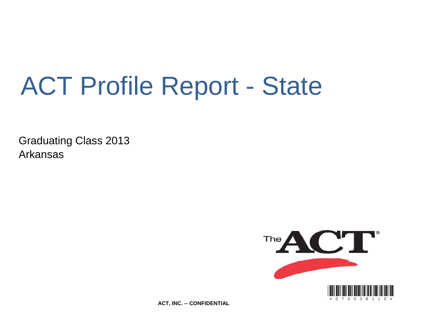# ACT Profile Report - State

Graduating Class 2013 Arkansas



**ACT, INC. -- CONFIDENTIAL**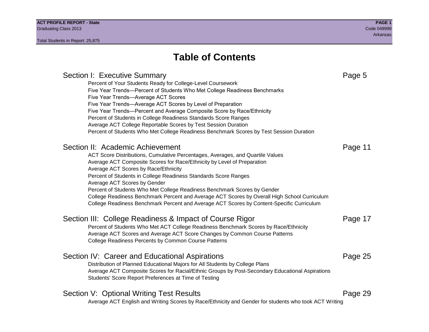### **Table of Contents**

### Section I: Executive Summary **Page 5** and the section I: Executive Summary Percent of Your Students Ready for College-Level Coursework Five Year Trends—Percent of Students Who Met College Readiness Benchmarks Five Year Trends—Average ACT Scores Five Year Trends—Average ACT Scores by Level of Preparation Five Year Trends—Percent and Average Composite Score by Race/Ethnicity Percent of Students in College Readiness Standards Score Ranges Average ACT College Reportable Scores by Test Session Duration Percent of Students Who Met College Readiness Benchmark Scores by Test Session Duration Section II: Academic Achievement **Page 11** Page 11 ACT Score Distributions, Cumulative Percentages, Averages, and Quartile Values Average ACT Composite Scores for Race/Ethnicity by Level of Preparation Average ACT Scores by Race/Ethnicity Percent of Students in College Readiness Standards Score Ranges Average ACT Scores by Gender Percent of Students Who Met College Readiness Benchmark Scores by Gender College Readiness Benchmark Percent and Average ACT Scores by Overall High School Curriculum College Readiness Benchmark Percent and Average ACT Scores by Content-Specific Curriculum Section III: College Readiness & Impact of Course Rigor Page 17 Percent of Students Who Met ACT College Readiness Benchmark Scores by Race/Ethnicity Average ACT Scores and Average ACT Score Changes by Common Course Patterns College Readiness Percents by Common Course Patterns Section IV: Career and Educational Aspirations **Page 25** Page 25 Distribution of Planned Educational Majors for All Students by College Plans Average ACT Composite Scores for Racial/Ethnic Groups by Post-Secondary Educational Aspirations Students' Score Report Preferences at Time of Testing Section V: Optional Writing Test Results **Page 29** Page 29 Average ACT English and Writing Scores by Race/Ethnicity and Gender for students who took ACT Writing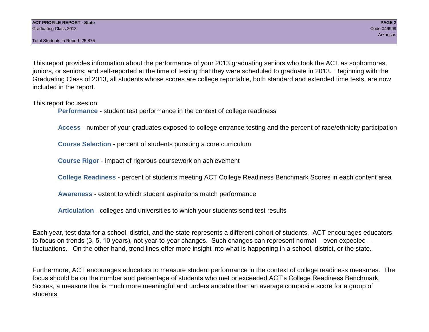This report provides information about the performance of your 2013 graduating seniors who took the ACT as sophomores, juniors, or seniors; and self-reported at the time of testing that they were scheduled to graduate in 2013. Beginning with the Graduating Class of 2013, all students whose scores are college reportable, both standard and extended time tests, are now included in the report.

This report focuses on:

**Performance** - student test performance in the context of college readiness

**Access** - number of your graduates exposed to college entrance testing and the percent of race/ethnicity participation

**Course Selection** - percent of students pursuing a core curriculum

**Course Rigor** - impact of rigorous coursework on achievement

**College Readiness** - percent of students meeting ACT College Readiness Benchmark Scores in each content area

**Awareness** - extent to which student aspirations match performance

**Articulation** - colleges and universities to which your students send test results

Each year, test data for a school, district, and the state represents a different cohort of students. ACT encourages educators to focus on trends (3, 5, 10 years), not year-to-year changes. Such changes can represent normal – even expected – fluctuations. On the other hand, trend lines offer more insight into what is happening in a school, district, or the state.

Furthermore, ACT encourages educators to measure student performance in the context of college readiness measures. The focus should be on the number and percentage of students who met or exceeded ACT's College Readiness Benchmark Scores, a measure that is much more meaningful and understandable than an average composite score for a group of students.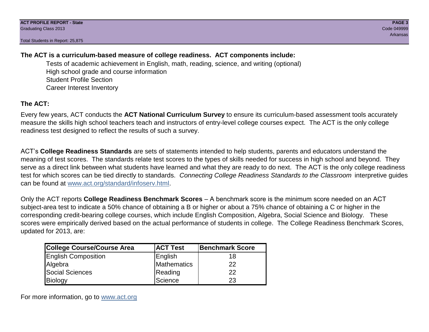### **The ACT is a curriculum-based measure of college readiness. ACT components include:**

Tests of academic achievement in English, math, reading, science, and writing (optional) High school grade and course information Student Profile Section Career Interest Inventory

### **The ACT:**

Every few years, ACT conducts the **ACT National Curriculum Survey** to ensure its curriculum-based assessment tools accurately measure the skills high school teachers teach and instructors of entry-level college courses expect. The ACT is the only college readiness test designed to reflect the results of such a survey.

ACT's **College Readiness Standards** are sets of statements intended to help students, parents and educators understand the meaning of test scores. The standards relate test scores to the types of skills needed for success in high school and beyond. They serve as a direct link between what students have learned and what they are ready to do next. The ACT is the only college readiness test for which scores can be tied directly to standards. *Connecting College Readiness Standards to the Classroom* interpretive guides can be found at www.act.org/standard/infoserv.html.

Only the ACT reports **College Readiness Benchmark Scores** – A benchmark score is the minimum score needed on an ACT subject-area test to indicate a 50% chance of obtaining a B or higher or about a 75% chance of obtaining a C or higher in the corresponding credit-bearing college courses, which include English Composition, Algebra, Social Science and Biology. These scores were empirically derived based on the actual performance of students in college. The College Readiness Benchmark Scores, updated for 2013, are:

| <b>College Course/Course Area</b> | <b>ACT Test</b> | Benchmark Score |
|-----------------------------------|-----------------|-----------------|
| <b>English Composition</b>        | English         | 18              |
| Algebra                           | Mathematics     | 22              |
| <b>Social Sciences</b>            | Reading         | 22              |
| Biology                           | Science         | 23              |

For more information, go to www.act.org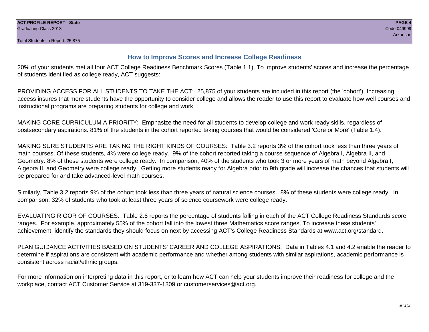#### **How to Improve Scores and Increase College Readiness**

20% of your students met all four ACT College Readiness Benchmark Scores (Table 1.1). To improve students' scores and increase the percentage of students identified as college ready, ACT suggests:

PROVIDING ACCESS FOR ALL STUDENTS TO TAKE THE ACT: 25,875 of your students are included in this report (the 'cohort'). Increasing access insures that more students have the opportunity to consider college and allows the reader to use this report to evaluate how well courses and instructional programs are preparing students for college and work.

MAKING CORE CURRICULUM A PRIORITY: Emphasize the need for all students to develop college and work ready skills, regardless of postsecondary aspirations. 81% of the students in the cohort reported taking courses that would be considered 'Core or More' (Table 1.4).

MAKING SURE STUDENTS ARE TAKING THE RIGHT KINDS OF COURSES: Table 3.2 reports 3% of the cohort took less than three years of math courses. Of these students, 4% were college ready. 9% of the cohort reported taking a course sequence of Algebra I, Algebra II, and Geometry. 8% of these students were college ready. In comparison, 40% of the students who took 3 or more years of math beyond Algebra I, Algebra II, and Geometry were college ready. Getting more students ready for Algebra prior to 9th grade will increase the chances that students will be prepared for and take advanced-level math courses.

Similarly, Table 3.2 reports 9% of the cohort took less than three years of natural science courses. 8% of these students were college ready. In comparison, 32% of students who took at least three years of science coursework were college ready.

EVALUATING RIGOR OF COURSES: Table 2.6 reports the percentage of students falling in each of the ACT College Readiness Standards score ranges. For example, approximately 55% of the cohort fall into the lowest three Mathematics score ranges. To increase these students' achievement, identify the standards they should focus on next by accessing ACT's College Readiness Standards at www.act.org/standard.

PLAN GUIDANCE ACTIVITIES BASED ON STUDENTS' CAREER AND COLLEGE ASPIRATIONS: Data in Tables 4.1 and 4.2 enable the reader to determine if aspirations are consistent with academic performance and whether among students with similar aspirations, academic performance is consistent across racial/ethnic groups.

For more information on interpreting data in this report, or to learn how ACT can help your students improve their readiness for college and the workplace, contact ACT Customer Service at 319-337-1309 or customerservices@act.org.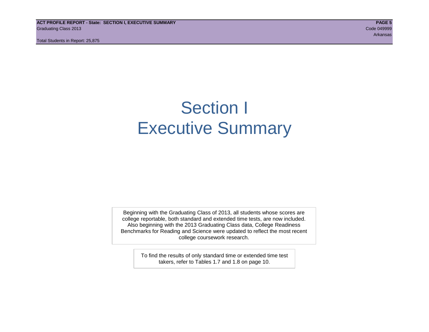**ACT PROFILE REPORT - State: SECTION I, EXECUTIVE SUMMARY PAGE 5** Graduating Class 2013 Code 049999

Total Students in Report: 25,875

Arkansas

## Section I Executive Summary

Beginning with the Graduating Class of 2013, all students whose scores are college reportable, both standard and extended time tests, are now included. Also beginning with the 2013 Graduating Class data, College Readiness Benchmarks for Reading and Science were updated to reflect the most recent college coursework research.

> To find the results of only standard time or extended time test takers, refer to Tables 1.7 and 1.8 on page 10.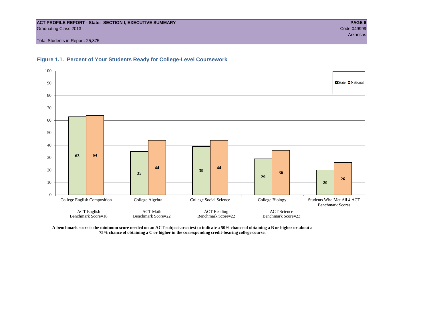#### **ACT PROFILE REPORT - State: SECTION I, EXECUTIVE SUMMARY PAGE 6** Graduating Class 2013 Code 049999

Total Students in Report: 25,875





**A benchmark score is the minimum score needed on an ACT subject-area test to indicate a 50% chance of obtaining a B or higher or about a 75% chance of obtaining a C or higher in the corresponding credit-bearing college course.**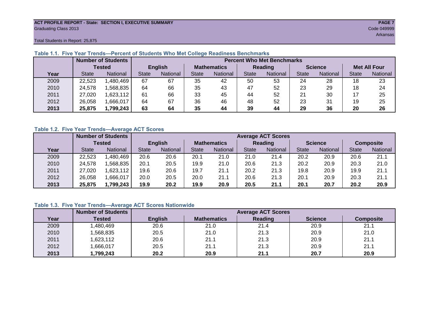#### **ACT PROFILE REPORT - State: SECTION I, EXECUTIVE SUMMARY PAGE 7** Graduating Class 2013 Code 049999

Arkansas at the control of the control of the control of the control of the control of the control of the control of the control of the control of the control of the control of the control of the control of the control of

Total Students in Report: 25,875

|      |              | <b>Number of Students</b> | <b>Percent Who Met Benchmarks</b> |                |    |                    |              |          |                |          |                     |          |  |  |
|------|--------------|---------------------------|-----------------------------------|----------------|----|--------------------|--------------|----------|----------------|----------|---------------------|----------|--|--|
|      |              | <b>Tested</b>             |                                   | <b>English</b> |    | <b>Mathematics</b> | Reading      |          | <b>Science</b> |          | <b>Met All Four</b> |          |  |  |
| Year | <b>State</b> | <b>National</b>           | <b>State</b>                      | National       |    | National           | <b>State</b> | National |                | National | <b>State</b>        | National |  |  |
| 2009 | 22,523       | ,480,469                  | 67                                | 67             | 35 | 42                 | 50           | 53       | 24             | 28       | 18                  | 23       |  |  |
| 2010 | 24,578       | .568.835                  | 64                                | 66             | 35 | 43                 | 47           | 52       | 23             | 29       | 18                  | 24       |  |  |
| 2011 | 27,020       | 1,623,112                 | 61                                | 66             | 33 | 45                 | 44           | 52       | 21             | 30       |                     | 25       |  |  |
| 2012 | 26,058       | .666,017                  | 64                                | 67             | 36 | 46                 | 48           | 52       | 23             | 31       | 19                  | 25       |  |  |
| 2013 | 25,875       | 1,799,243                 | 63                                | 64             | 35 | 44                 | 39           | 44       | 29             | 36       | 20                  | 26       |  |  |

#### **Table 1.1. Five Year Trends—Percent of Students Who Met College Readiness Benchmarks**

#### **Table 1.2. Five Year Trends—Average ACT Scores**

|      |              | <b>Number of Students</b> |              |                |                    | <b>Average ACT Scores</b> |                |                 |                |          |                  |          |  |  |  |
|------|--------------|---------------------------|--------------|----------------|--------------------|---------------------------|----------------|-----------------|----------------|----------|------------------|----------|--|--|--|
|      |              | Tested                    |              | <b>English</b> | <b>Mathematics</b> |                           | <b>Reading</b> |                 | <b>Science</b> |          | <b>Composite</b> |          |  |  |  |
| Year | <b>State</b> | <b>National</b>           | <b>State</b> | National       | State              | National                  | <b>State</b>   | <b>National</b> | <b>State</b>   | National | <b>State</b>     | National |  |  |  |
| 2009 | 22,523       | .480,469                  | 20.6         | 20.6           | 20.1               | 21.0                      | 21.0           | 21.4            | 20.2           | 20.9     | 20.6             | 21.1     |  |  |  |
| 2010 | 24,578       | .568.835                  | 20.1         | 20.5           | 19.9               | 21.0                      | 20.6           | 21.3            | 20.2           | 20.9     | 20.3             | 21.0     |  |  |  |
| 2011 | 27,020       | .623,112                  | 19.6         | 20.6           | 19.7               | 21.1                      | 20.2           | 21.3            | 19.8           | 20.9     | 19.9             | 21.1     |  |  |  |
| 2012 | 26,058       | .666,017                  | 20.0         | 20.5           | 20.0               | 21.1                      | 20.6           | 21.3            | 20.1           | 20.9     | 20.3             | 21.1     |  |  |  |
| 2013 | 25,875       | 1,799,243                 | 19.9         | 20.2           | 19.9               | 20.9                      | 20.5           | 21.1            | 20.1           | 20.7     | 20.2             | 20.9     |  |  |  |

#### **Table 1.3. Five Year Trends—Average ACT Scores Nationwide**

|      | <b>Number of Students</b> |                | <b>Average ACT Scores</b> |         |                |                  |  |  |  |  |  |  |
|------|---------------------------|----------------|---------------------------|---------|----------------|------------------|--|--|--|--|--|--|
| Year | Tested                    | <b>English</b> | <b>Mathematics</b>        | Reading | <b>Science</b> | <b>Composite</b> |  |  |  |  |  |  |
| 2009 | ,480,469                  | 20.6           | 21.0                      | 21.4    | 20.9           | 21.1             |  |  |  |  |  |  |
| 2010 | ,568,835                  | 20.5           | 21.0                      | 21.3    | 20.9           | 21.0             |  |  |  |  |  |  |
| 2011 | ,623,112                  | 20.6           | 21.1                      | 21.3    | 20.9           | 21.1             |  |  |  |  |  |  |
| 2012 | ,666,017                  | 20.5           | 21.1                      | 21.3    | 20.9           | 21.1             |  |  |  |  |  |  |
| 2013 | 1,799,243                 | 20.2           | 20.9                      | 21.1    | 20.7           | 20.9             |  |  |  |  |  |  |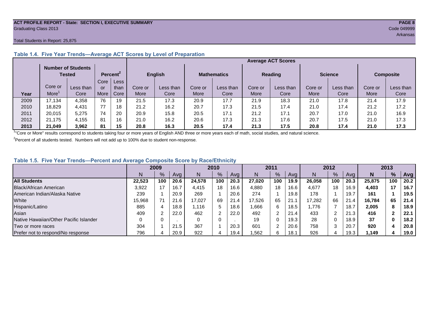#### **ACT PROFILE REPORT - State: SECTION I, EXECUTIVE SUMMARY PAGE 8** Graduating Class 2013 Code 049999

#### Total Students in Report: 25,875

|      |         | <b>Number of Students</b><br>Tested |      | Percent <sup>2</sup> | <b>English</b> |           | <b>Mathematics</b> |           | <b>Reading</b> |           | <b>Science</b> |           | <b>Composite</b> |           |
|------|---------|-------------------------------------|------|----------------------|----------------|-----------|--------------------|-----------|----------------|-----------|----------------|-----------|------------------|-----------|
|      |         |                                     | Core | Less                 |                |           |                    |           |                |           |                |           |                  |           |
|      | Core or | Less than                           | or   | than                 | Core or        | Less than | Core or            | Less than | Core or        | Less than | Core or        | Less than | Core or          | Less than |
| Year | More    | Core                                | More | Core                 | More           | Core      | More               | Core      | More           | Core      | More           | Core      | More             | Core      |
| 2009 | 17,134  | 4,358                               | 76   | 19                   | 21.5           | 17.3      | 20.9               | 17.7      | 21.9           | 18.3      | 21.0           | 17.8      | 21.4             | 17.9      |
| 2010 | 18.829  | 4.431                               | 77   | 18                   | 21.2           | 16.2      | 20.7               | 17.3      | 21.5           | 17.4      | 21.0           | 17.4      | 21.2             | 17.2      |
| 2011 | 20,015  | 5,275                               | 74   | 20                   | 20.9           | 15.8      | 20.5               | 17.1      | 21.2           | 17.1      | 20.7           | 17.0      | 21.0             | 16.9      |
| 2012 | 21.175  | 4.155                               | 81   | 16                   | 21.0           | 16.2      | 20.6               | 17.3      | 21.3           | 17.6      | 20.7           | 17.5      | 21.0             | 17.3      |
| 2013 | 21.049  | 3,962                               | 81   | 15                   | 20.8           | 16.3      | 20.5               | 17.4      | 21.3           | 17.5      | 20.8           | 17.4      | 21.0             | 17.3      |

#### **Table 1.4. Five Year Trends—Average ACT Scores by Level of Preparation**

<sup>1</sup>"Core or More" results correspond to students taking four or more years of English AND three or more years each of math, social studies, and natural science.

 $2$ Percent of all students tested. Numbers will not add up to 100% due to student non-response.

#### **Table 1.5. Five Year Trends—Percent and Average Composite Score by Race/Ethnicity**

|                                        | 2009   |     |      | 2010   |               |      | 2011   |     |      | 2012   |     |      | 2013   |     |      |
|----------------------------------------|--------|-----|------|--------|---------------|------|--------|-----|------|--------|-----|------|--------|-----|------|
|                                        | N.     | %   | Avg  |        | $\frac{9}{6}$ | Avg  | N      | %   | Avg  | N      | %   | Ava  | N      | %   | Avg  |
| <b>All Students</b>                    | 22.523 | 100 | 20.6 | 24.578 | 100           | 20.3 | 27.020 | 100 | 19.9 | 26.058 | 100 | 20.3 | 25.875 | 100 | 20.2 |
| Black/African American                 | 3,922  |     | 16.7 | 4.415  | 18            | 16.6 | 4,880  | 18  | 16.6 | 4,677  | 18  | 16.9 | 4,403  | 17  | 16.7 |
| American Indian/Alaska Native          | 239    |     | 20.9 | 269    |               | 20.6 | 274    |     | 19.8 | 178    |     | 19.7 | 161    |     | 19.5 |
| White                                  | 15,968 | 71  | 21.6 | 17.027 | 69            | 21.4 | 17.526 | 65  | 21.  | 17.282 | 66  | 21.4 | 16.784 | 65  | 21.4 |
| Hispanic/Latino                        | 885    |     | 18.8 | l.116  | 5             | 18.6 | .666   | 6   | 18.5 | .776   |     | 18.7 | 2,005  | 8   | 18.9 |
| Asian                                  | 409    |     | 22.0 | 462    | ີ             | 22.0 | 492    |     | 21.4 | 433    | ົ   | 21.3 | 416    |     | 22.1 |
| Native Hawaiian/Other Pacific Islander |        |     |      |        | 0             |      | 19     | 0   | 19.3 | 28     | 0   | 18.9 | 37     |     | 18.2 |
| Two or more races                      | 304    |     | 21.5 | 367    |               | 20.3 | 601    | 2   | 20.6 | 758    | 3   | 20.7 | 920    |     | 20.8 |
| Prefer not to respond/No response      | 796    |     | 20.9 | 922    | 4             | 19.4 | .562   | 6   | 18.1 | 926    | 4   | 19.3 | 1,149  |     | 19.0 |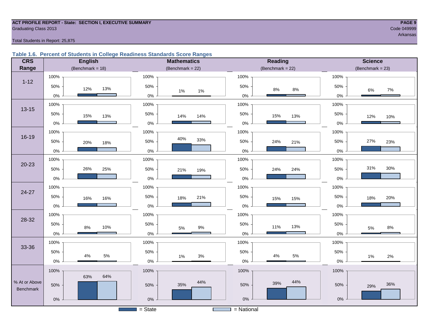#### **ACT PROFILE REPORT - State: SECTION I, EXECUTIVE SUMMARY PAGE 9** Code 049999 Craduating Class 2013

Arkansas

#### Total Students in Report: 25,875

#### **Table 1.6. Percent of Students in College Readiness Standards Score Ranges**

| <b>CRS</b>       | <b>English</b>          | <b>Mathematics</b>             | Reading              | <b>Science</b>       |  |  |  |
|------------------|-------------------------|--------------------------------|----------------------|----------------------|--|--|--|
| Range            | (Benchmark = $18$ )     | (Benchmark = $22$ )            | $(Benchmark = 22)$   | (Benchmark = $23$ )  |  |  |  |
|                  | 100%                    | 100%                           | 100%                 | 100%                 |  |  |  |
| $1 - 12$         | 50%<br>13%<br>12%       | 50%<br>$1\%$<br>$1\%$          | 50%<br>$8\%$<br>8%   | 50%<br>7%<br>6%      |  |  |  |
|                  | $0\%$                   | $0\%$                          | $0\%$                | $0\%$                |  |  |  |
| $13 - 15$        | 100%                    | 100%                           | 100%                 | 100%                 |  |  |  |
|                  | 50%<br>15%<br>13%       | 50%<br>14%<br>14%              | 50%<br>15%<br>13%    | 50%<br>12%<br>10%    |  |  |  |
|                  | $0\%$                   | $0\%$                          | $0\%$                | $0\%$                |  |  |  |
|                  | 100%                    | 100%                           | 100%                 | 100%                 |  |  |  |
| 16-19            | 50%<br>20%<br>18%       | 40%<br>33%<br>50%              | 50%<br>24%<br>21%    | 27%<br>50%<br>23%    |  |  |  |
|                  | $0\%$                   | 0%                             | $0\%$                | $0\%$                |  |  |  |
|                  | 100%                    | 100%                           | 100%                 | 100%                 |  |  |  |
| $20 - 23$        | 26%<br>50%<br>25%       | 50%<br>21%<br>19%              | 50%<br>24%<br>24%    | 31%<br>30%<br>50%    |  |  |  |
|                  | $0\%$                   | 0%                             | $0\%$                | $0\%$                |  |  |  |
|                  | 100%                    | 100%                           | 100%                 | 100%                 |  |  |  |
| 24-27            | 50%<br>16%<br>16%       | 50%<br>21%<br>18%              | 50%<br>15%<br>15%    | 50%<br>20%<br>18%    |  |  |  |
|                  | $0\%$                   | 0%                             | $0\%$                | $0\%$                |  |  |  |
|                  | 100%                    | 100%                           | 100%                 | 100%                 |  |  |  |
| 28-32            | 50%<br>10%<br>8%        | 50%<br>$9\%$                   | 50%<br>13%<br>11%    | 50%<br>$8\%$         |  |  |  |
|                  | $0\%$                   | 5%<br>$0\%$                    | $0\%$                | $5\%$<br>$0\%$       |  |  |  |
|                  | 100%                    | 100%                           | 100%                 | 100%                 |  |  |  |
| 33-36            | 50%                     | 50%                            | 50%                  | 50%                  |  |  |  |
|                  | $5\%$<br>$4\%$<br>$0\%$ | 3%<br>1%<br>0%                 | 5%<br>$4\%$<br>$0\%$ | $1\%$<br>2%<br>$0\%$ |  |  |  |
|                  | 100%                    | 100%                           | 100%                 | 100%                 |  |  |  |
| % At or Above    | 64%<br>63%              | 44%                            | 44%                  |                      |  |  |  |
| <b>Benchmark</b> | 50%                     | 35%<br>50%                     | 39%<br>50%           | 36%<br>50%<br>29%    |  |  |  |
|                  | $0\%$                   | $0\%$                          | $0\%$                | $0\%$                |  |  |  |
|                  |                         | $=$ State<br><b>The Common</b> | = National           |                      |  |  |  |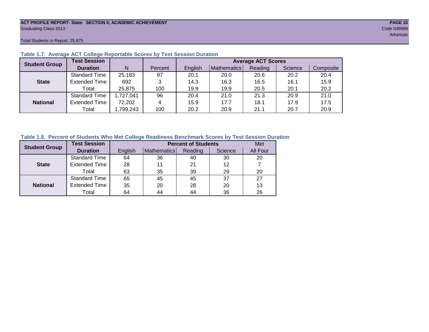#### **ACT PROFILE REPORT- State: SECTION II, ACADEMIC ACHIEVEMENT PAGE 10** Graduating Class 2013 Code 049999

Total Students in Report: 25,875

| <b>Student Group</b> | <b>Test Session</b>  |           |         |         |             | <b>Average ACT Scores</b> |         |           |
|----------------------|----------------------|-----------|---------|---------|-------------|---------------------------|---------|-----------|
|                      | <b>Duration</b>      | N         | Percent | English | Mathematics | Reading                   | Science | Composite |
|                      | <b>Standard Time</b> | 25,183    | 97      | 20.1    | 20.0        | 20.6                      | 20.2    | 20.4      |
| <b>State</b>         | <b>Extended Time</b> | 692       | 3       | 14.3    | 16.3        | 16.5                      | 16.1    | 15.9      |
|                      | Total                | 25,875    | 100     | 19.9    | 19.9        | 20.5                      | 20.1    | 20.2      |
|                      | <b>Standard Time</b> | 1,727,041 | 96      | 20.4    | 21.0        | 21.3                      | 20.9    | 21.0      |
| <b>National</b>      | <b>Extended Time</b> | 72,202    | 4       | 15.9    | 17.7        | 18.1                      | 17.9    | 17.5      |
|                      | Total                | ,799,243  | 100     | 20.2    | 20.9        | 21.1                      | 20.7    | 20.9      |

#### **Table 1.7. Average ACT College Reportable Scores by Test Session Duration**

#### **Table 1.8. Percent of Students Who Met College Readiness Benchmark Scores by Test Session Duration**

| <b>Student Group</b> | <b>Test Session</b>  |         | Met         |         |         |          |
|----------------------|----------------------|---------|-------------|---------|---------|----------|
|                      | <b>Duration</b>      | English | Mathematics | Reading | Science | All Four |
|                      | Standard Time        | 64      | 36          | 40      | 30      | 20       |
| <b>State</b>         | <b>Extended Time</b> | 28      |             | 21      | 12      |          |
|                      | Total                | 63      | 35          | 39      | 29      | 20       |
|                      | <b>Standard Time</b> | 65      | 45          | 45      | 37      | 27       |
| <b>National</b>      | <b>Extended Time</b> | 35      | 20          | 28      | 20      | 13       |
|                      | Total                | 64      | 44          | 44      | 36      | 26       |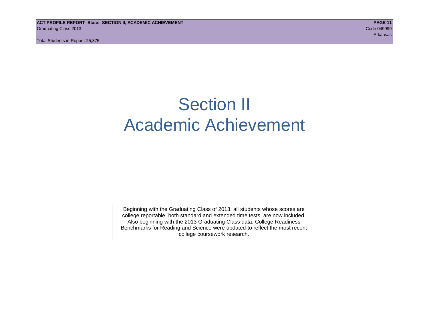# Section II Academic Achievement

Beginning with the Graduating Class of 2013, all students whose scores are college reportable, both standard and extended time tests, are now included. Also beginning with the 2013 Graduating Class data, College Readiness Benchmarks for Reading and Science were updated to reflect the most recent college coursework research.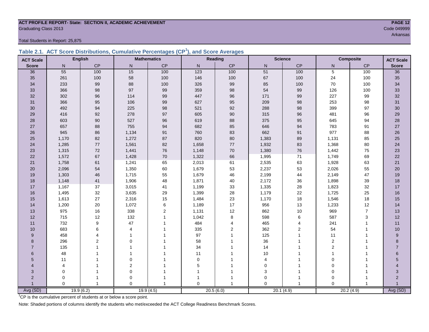#### **ACT PROFILE REPORT- State: SECTION II, ACADEMIC ACHIEVEMENT PAGE 12 Graduating Class 2013** Code 049999

Total Students in Report: 25,875

|  | Table 2.1. ACT Score Distributions, Cumulative Percentages (CP <sup>1</sup> ), and Score Averages |  |  |  |
|--|---------------------------------------------------------------------------------------------------|--|--|--|
|  |                                                                                                   |  |  |  |

| <b>ACT Scale</b>      |          | <b>English</b> |                | <b>Mathematics</b> |                  | <b>Reading</b> |           | <b>Science</b> |                | <b>Composite</b><br><b>ACT Scale</b> |                |
|-----------------------|----------|----------------|----------------|--------------------|------------------|----------------|-----------|----------------|----------------|--------------------------------------|----------------|
| <b>Score</b>          | N        | CP             | ${\sf N}$      | $\mathsf{CP}$      | $\mathsf{N}$     | CP             | ${\sf N}$ | CP             | N              | $\mathsf{CP}$                        | <b>Score</b>   |
| 36                    | 55       | 100            | 15             | 100                | $\overline{123}$ | 100            | 51        | 100            | $\overline{5}$ | 100                                  | 36             |
| 35                    | 261      | 100            | 58             | 100                | 146              | 100            | 67        | 100            | 24             | 100                                  | 35             |
| 34                    | 233      | 99             | 88             | 100                | 326              | 99             | 85        | 100            | 70             | 100                                  | 34             |
| 33                    | 366      | 98             | 97             | 99                 | 359              | 98             | 54        | 99             | 126            | 100                                  | 33             |
| 32                    | 302      | 96             | 114            | 99                 | 447              | 96             | 171       | 99             | 227            | 99                                   | $32\,$         |
| 31                    | 366      | 95             | 106            | 99                 | 627              | 95             | 209       | 98             | 253            | 98                                   | 31             |
| 30                    | 492      | 94             | 225            | $98\,$             | 521              | 92             | 288       | $98\,$         | 399            | 97                                   | 30             |
| 29                    | 416      | 92             | 278            | 97                 | 605              | 90             | 315       | 96             | 481            | 96                                   | 29             |
| 28                    | 603      | 90             | 527            | 96                 | 619              | 88             | 375       | 95             | 645            | 94                                   | 28             |
| 27                    | 657      | 88             | 755            | 94                 | 682              | 85             | 646       | 94             | 783            | 91                                   | $27\,$         |
| 26                    | 945      | 86             | 1,134          | 91                 | 760              | 83             | 662       | 91             | 977            | 88                                   | 26             |
| 25                    | 1,170    | 82             | 1,272          | 87                 | 820              | 80             | 1,383     | 89             | 1,131          | 85                                   | 25             |
| 24                    | 1,285    | 77             | 1,561          | 82                 | 1,658            | 77             | 1,932     | 83             | 1,368          | 80                                   | 24             |
| 23                    | 1,315    | $72\,$         | 1,441          | ${\bf 76}$         | 1,148            | 70             | 1,380     | 76             | 1,442          | 75                                   | 23             |
| 22                    | 1,572    | 67             | 1,428          | $70\,$             | 1,322            | 66             | 1,995     | $71$           | 1,749          | 69                                   | 22             |
| 21                    | 1,758    | 61             | 1,241          | 65                 | 2,013            | 61             | 2,535     | 63             | 1,928          | 63                                   | 21             |
| 20                    | 2,096    | 54             | 1,350          | 60                 | 1,679            | 53             | 2,237     | 53             | 2,026          | 55                                   | 20             |
| 19                    | 1,303    | 46             | 1,715          | 55                 | 1,679            | 46             | 2,199     | 44             | 2,149          | 47                                   | 19             |
| 18                    | 1,148    | 41             | 1,906          | 48                 | 1,871            | 40             | 2,172     | 36             | 1,898          | 39                                   | 18             |
| 17                    | 1,167    | 37             | 3,015          | 41                 | 1,199            | 33             | 1,335     | 28             | 1,823          | 32                                   | 17             |
| 16                    | 1,495    | $32\,$         | 3,635          | 29                 | 1,399            | 28             | 1,179     | $22\,$         | 1,725          | 25                                   | 16             |
| 15                    | 1,613    | 27             | 2,316          | 15                 | 1,484            | 23             | 1,170     | 18             | 1,546          | 18                                   | 15             |
| 14                    | 1,200    | 20             | 1,072          | $\,6$              | 1,189            | 17             | 956       | 13             | 1,233          | 12                                   | 14             |
| 13                    | 975      | 16             | 338            | $\mathbf 2$        | 1,131            | 12             | 862       | $10$           | 969            | $\overline{7}$                       | 13             |
| 12                    | 715      | 12             | 132            | $\mathbf{1}$       | 1,042            | 8              | 598       | $\,6$          | 587            | 3                                    | 12             |
| 11                    | 732      | 9              | 47             |                    | 484              | 4              | 465       | 4              | 241            | 1                                    | 11             |
| 10                    | 683      | 6              | 4              |                    | 335              | 2              | 362       | $\overline{2}$ | 54             | $\overline{1}$                       | 10             |
| 9                     | 458      | Δ              | 1              |                    | 97               |                | 125       | 1              | 11             |                                      | 9              |
| 8                     | 296      | $\overline{2}$ | $\Omega$       |                    | 58               |                | 36        |                | $\overline{2}$ |                                      | 8              |
| $\overline{7}$        | 135      |                |                |                    | 34               |                | 14        |                | 2              |                                      | $\overline{7}$ |
| 6                     | 48       |                | 1              |                    | 11               |                | 10        | 1              | $\mathbf{1}$   |                                      | $6\phantom{1}$ |
| 5                     | 11       |                | 0              |                    | $\mathbf 0$      |                | 4         |                | $\mathbf 0$    |                                      | 5              |
| $\boldsymbol{\Delta}$ | 4        |                | $\overline{c}$ |                    | 5                |                | $\Omega$  |                | $\mathbf 0$    |                                      |                |
| 3                     | 0        |                | $\mathbf 0$    |                    |                  |                | 3         | 1              | $\mathbf 0$    |                                      | 3              |
| $\overline{2}$        | 0        |                | $\mathbf 0$    |                    |                  |                | 0         | -1             | $\mathbf 0$    |                                      | $\overline{2}$ |
|                       | $\Omega$ |                | $\Omega$       |                    | $\Omega$         | 1              | $\Omega$  | 1              | $\Omega$       | $\overline{1}$                       | Avg (SD)       |
| Avg (SD)              |          | 19.9(6.2)      |                | 19.9(4.5)          |                  | 20.5(6.0)      |           | 20.1(4.9)      |                | 20.2(4.9)                            |                |

Arkansas at the control of the control of the control of the control of the control of the control of the control of the control of the control of the control of the control of the control of the control of the control of

<sup>1</sup>CP is the cumulative percent of students at or below a score point.

Note: Shaded portions of columns identify the students who met/exceeded the ACT College Readiness Benchmark Scores.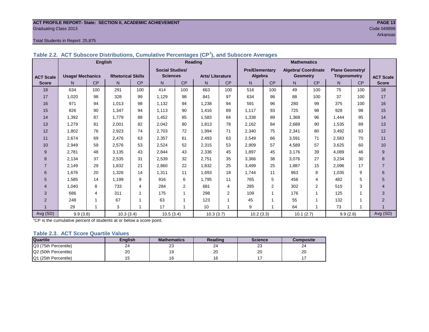#### **ACT PROFILE REPORT- State: SECTION II, ACADEMIC ACHIEVEMENT PAGE 13** Graduating Class 2013 Code 049999

#### Total Students in Report: 25,875

|                  | ,,,                     |                |                          |           |                        |     |                        |                |                       |                |                            |                |                        |           |                  |
|------------------|-------------------------|----------------|--------------------------|-----------|------------------------|-----|------------------------|----------------|-----------------------|----------------|----------------------------|----------------|------------------------|-----------|------------------|
|                  |                         | <b>English</b> |                          |           |                        |     | Reading                |                |                       |                | <b>Mathematics</b>         |                |                        |           |                  |
|                  |                         |                |                          |           | <b>Social Studies/</b> |     |                        |                | <b>Pre/Elementary</b> |                | <b>Algebra/ Coordinate</b> |                | <b>Plane Geometry/</b> |           |                  |
| <b>ACT Scale</b> | <b>Usage/ Mechanics</b> |                | <b>Rhetorical Skills</b> |           | <b>Sciences</b>        |     | <b>Arts/Literature</b> |                | Algebra               |                | <b>Geometry</b>            |                | <b>Trigonometry</b>    |           | <b>ACT Scale</b> |
| <b>Score</b>     | N                       | <b>CP</b>      | N.                       | <b>CP</b> | $\mathsf{N}$           | CP  | N.                     | CP             | N                     | <b>CP</b>      | N                          | <b>CP</b>      | N                      | <b>CP</b> | <b>Score</b>     |
| 18               | 634                     | 100            | 291                      | 100       | 414                    | 100 | 663                    | 100            | 516                   | 100            | 49                         | 100            | 75                     | 100       | 18               |
| 17               | 1,020                   | 98             | 328                      | 99        | 1,129                  | 98  | 841                    | 97             | 634                   | 98             | 88                         | 100            | 37                     | 100       | 17               |
| 16               | 971                     | 94             | 1.013                    | 98        | 1,132                  | 94  | 1,238                  | 94             | 591                   | 96             | 280                        | 99             | 375                    | 100       | 16               |
| 15               | 826                     | 90             | 1,347                    | 94        | 1,113                  | 90  | 1,416                  | 89             | 1.117                 | 93             | 725                        | 98             | 928                    | 98        | 15               |
| 14               | 1,392                   | 87             | 1.779                    | 88        | 1,452                  | 85  | 1,583                  | 84             | 1,338                 | 89             | 1.368                      | 96             | 1.444                  | 95        | 14               |
| 13               | 1,279                   | 81             | 2.001                    | 82        | 2,042                  | 80  | 1.813                  | 78             | 2,162                 | 84             | 2.689                      | 90             | 1,535                  | 89        | 13               |
| 12               | 1,802                   | 76             | 2,923                    | 74        | 2,703                  | 72  | 1,994                  | 71             | 2,340                 | 75             | 2,341                      | 80             | 3,492                  | 83        | 12               |
| 11               | 2,674                   | 69             | 2.476                    | 63        | 2,357                  | 61  | 2,493                  | 63             | 2,549                 | 66             | 3,591                      | 71             | 2,583                  | 70        | 11               |
| 10               | 2,949                   | 59             | 2,576                    | 53        | 2,524                  | 52  | 2,315                  | 53             | 2,909                 | 57             | 4,589                      | 57             | 3,625                  | 60        | 10               |
| 9                | 2.781                   | 48             | 3.135                    | 43        | 2,844                  | 43  | 2,336                  | 45             | 1,897                 | 45             | 3,176                      | 39             | 4.089                  | 46        | 9                |
| 8                | 2,134                   | 37             | 2.535                    | 31        | 2,539                  | 32  | 2.751                  | 35             | 3,366                 | 38             | 3.076                      | 27             | 3,234                  | 30        | 8                |
| $\overline{7}$   | 2,149                   | 29             | 1,832                    | 21        | 2,860                  | 22  | 1,832                  | 25             | 3,499                 | 25             | 1,887                      | 15             | 2,096                  | 17        |                  |
| 6                | 1,676                   | 20             | 1.326                    | 14        | 1,311                  | 11  | 1,693                  | 18             | 1.744                 | 11             | 963                        | 8              | 1.035                  | 9         | 6                |
| 5                | 1.585                   | 14             | 1.199                    | 9         | 916                    | 6   | 1.795                  | 11             | 765                   | 5              | 456                        | 4              | 482                    | 5         | 5                |
| 4                | 1.040                   | 8              | 733                      | 4         | 284                    | 2   | 681                    | 4              | 285                   | $\overline{2}$ | 302                        | $\overline{2}$ | 515                    | 3         | 4                |
| 3                | 686                     | 4              | 311                      | -1        | 175                    |     | 298                    | $\overline{2}$ | 109                   | -1             | 176                        |                | 125                    |           | 3                |
| $\overline{2}$   | 248                     |                | 67                       |           | 63                     |     | 123                    |                | 45                    |                | 55                         |                | 132                    |           | $\overline{2}$   |
|                  | 29                      |                | 3                        |           | 17                     |     | 10                     |                | 9                     |                | 64                         |                | 73                     |           |                  |
| Avg (SD)         | 9.9(3.8)                |                | 10.3(3.4)                |           | 10.5(3.4)              |     | 10.3(3.7)              |                | 10.2(3.3)             |                | 10.1(2.7)                  |                | 9.9(2.8)               |           | Avg (SD)         |

**Table 2.2. ACT Subscore Distributions, Cumulative Percentages (CP<sup>1</sup> ), and Subscore Averages**

<sup>1</sup>CP is the cumulative percent of students at or below a score point.

#### **Table 2.3. ACT Score Quartile Values**

| <b>Quartile</b>      | Enalish | <b>Mathematics</b> | Reading      | <b>Science</b> | Composite |  |
|----------------------|---------|--------------------|--------------|----------------|-----------|--|
| Q3 (75th Percentile) | 24      | ົ<br>ںے            | $\sim$<br>24 | ົ<br>د∠        | 24        |  |
| Q2 (50th Percentile) | 20      |                    | oc<br>۷J     | 20             | 20        |  |
| Q1 (25th Percentile) |         |                    |              |                |           |  |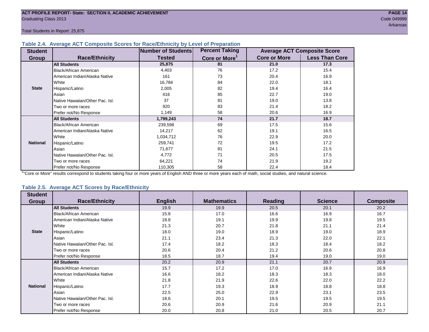#### **Table 2.4. Average ACT Composite Scores for Race/Ethnicity by Level of Preparation**

| <b>Student</b>  |                                 | Number of Students | <b>Percent Taking</b>     |                     | <b>Average ACT Composite Score</b> |
|-----------------|---------------------------------|--------------------|---------------------------|---------------------|------------------------------------|
| <b>Group</b>    | <b>Race/Ethnicity</b>           | <b>Tested</b>      | Core or More <sup>1</sup> | <b>Core or More</b> | <b>Less Than Core</b>              |
|                 | <b>All Students</b>             | 25,875             | 81                        | 21.0                | 17.3                               |
|                 | <b>Black/African American</b>   | 4,403              | 76                        | 17.2                | 15.4                               |
|                 | American Indian/Alaska Native   | 161                | 73                        | 20.4                | 16.9                               |
|                 | White                           | 16,784             | 84                        | 22.0                | 18.1                               |
| <b>State</b>    | Hispanic/Latino                 | 2,005              | 82                        | 19.4                | 16.4                               |
|                 | Asian                           | 416                | 85                        | 22.7                | 19.0                               |
|                 | Native Hawaiian/Other Pac. Isl. | 37                 | 81                        | 19.0                | 13.8                               |
|                 | Two or more races               | 920                | 83                        | 21.4                | 18.2                               |
|                 | Prefer not/No Response          | 1,149              | 58                        | 20.6                | 16.9                               |
|                 | <b>All Students</b>             | 1,799,243          | 74                        | 21.7                | 18.7                               |
|                 | Black/African American          | 239,598            | 69                        | 17.5                | 15.6                               |
|                 | American Indian/Alaska Native   | 14,217             | 62                        | 19.1                | 16.5                               |
|                 | White                           | 1,034,712          | 76                        | 22.9                | 20.0                               |
| <b>National</b> | Hispanic/Latino                 | 259,741            | 72                        | 19.5                | 17.2                               |
|                 | Asian                           | 71,677             | 81                        | 24.1                | 21.5                               |
|                 | Native Hawaiian/Other Pac. Isl. | 4,772              | 71                        | 20.5                | 17.5                               |
|                 | Two or more races               | 64,221             | 74                        | 21.9                | 19.2                               |
|                 | Prefer not/No Response          | 110,305            | 58                        | 22.4                | 18.4                               |

<sup>1</sup>"Core or More" results correspond to students taking four or more years of English AND three or more years each of math, social studies, and natural science.

#### **Table 2.5. Average ACT Scores by Race/Ethnicity**

| <b>Student</b>  |                                 |                |                    |                |                |                  |
|-----------------|---------------------------------|----------------|--------------------|----------------|----------------|------------------|
| Group           | <b>Race/Ethnicity</b>           | <b>English</b> | <b>Mathematics</b> | <b>Reading</b> | <b>Science</b> | <b>Composite</b> |
|                 | <b>All Students</b>             | 19.9           | 19.9               | 20.5           | 20.1           | 20.2             |
|                 | Black/African American          | 15.8           | 17.0               | 16.6           | 16.9           | 16.7             |
|                 | American Indian/Alaska Native   | 18.8           | 19.1               | 19.9           | 19.8           | 19.5             |
|                 | White                           | 21.3           | 20.7               | 21.8           | 21.1           | 21.4             |
| <b>State</b>    | Hispanic/Latino                 | 18.0           | 19.0               | 18.9           | 19.0           | 18.9             |
|                 | Asian                           | 21.1           | 23.4               | 21.3           | 22.0           | 22.1             |
|                 | Native Hawaiian/Other Pac. Isl. | 17.4           | 18.2               | 18.3           | 18.4           | 18.2             |
|                 | Two or more races               | 20.6           | 20.4               | 21.2           | 20.6           | 20.8             |
|                 | Prefer not/No Response          | 18.5           | 18.7               | 19.4           | 19.0           | 19.0             |
|                 | <b>All Students</b>             | 20.2           | 20.9               | 21.1           | 20.7           | 20.9             |
|                 | <b>Black/African American</b>   | 15.7           | 17.2               | 17.0           | 16.9           | 16.9             |
|                 | American Indian/Alaska Native   | 16.6           | 18.2               | 18.3           | 18.3           | 18.0             |
|                 | White                           | 21.8           | 21.9               | 22.6           | 22.0           | 22.2             |
| <b>National</b> | Hispanic/Latino                 | 17.7           | 19.3               | 18.9           | 18.8           | 18.8             |
|                 | Asian                           | 22.5           | 25.0               | 22.9           | 23.1           | 23.5             |
|                 | Native Hawaiian/Other Pac. Isl. | 18.6           | 20.1               | 19.5           | 19.5           | 19.5             |
|                 | Two or more races               | 20.6           | 20.9               | 21.6           | 20.9           | 21.1             |
|                 | Prefer not/No Response          | 20.0           | 20.8               | 21.0           | 20.5           | 20.7             |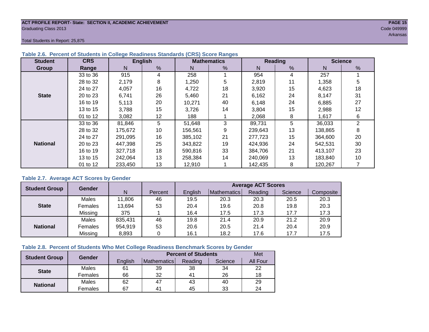#### **ACT PROFILE REPORT- State: SECTION II, ACADEMIC ACHIEVEMENT PAGE 15** Graduating Class 2013 Code 049999

Arkansas at the control of the control of the control of the control of the control of the control of the control of the control of the control of the control of the control of the control of the control of the control of

Total Students in Report: 25,875

| <b>Student</b>  | <b>CRS</b> |         | <b>English</b> |         | <b>Mathematics</b> |         | Reading       | <b>Science</b> |                |  |
|-----------------|------------|---------|----------------|---------|--------------------|---------|---------------|----------------|----------------|--|
| Group           | Range      | N       | %              | N       | %                  | N       | $\frac{9}{6}$ | N              | %              |  |
|                 | 33 to 36   | 915     | 4              | 258     |                    | 954     | 4             | 257            |                |  |
|                 | 28 to 32   | 2,179   | 8              | 1,250   | 5                  | 2,819   | 11            | 1,358          | 5              |  |
|                 | 24 to 27   | 4,057   | 16             | 4,722   | 18                 | 3,920   | 15            | 4,623          | 18             |  |
| <b>State</b>    | 20 to 23   | 6,741   | 26             | 5,460   | 21                 | 6,162   | 24            | 8,147          | 31             |  |
|                 | 16 to 19   | 5,113   | 20             | 10,271  | 40                 | 6,148   | 24            | 6,885          | 27             |  |
|                 | 13 to 15   | 3,788   | 15             | 3,726   | 14                 | 3,804   | 15            | 2,988          | 12             |  |
|                 | 01 to 12   | 3,082   | 12             | 188     |                    | 2,068   | 8             | 1,617          | 6              |  |
|                 | 33 to 36   | 81,846  | 5              | 51,648  | 3                  | 89,731  | 5             | 36,033         | $\overline{2}$ |  |
|                 | 28 to 32   | 175,672 | 10             | 156,561 | 9                  | 239,643 | 13            | 138,865        | 8              |  |
|                 | 24 to 27   | 291.095 | 16             | 385,102 | 21                 | 277,723 | 15            | 364,600        | 20             |  |
| <b>National</b> | 20 to 23   | 447,398 | 25             | 343.822 | 19                 | 424,936 | 24            | 542,531        | 30             |  |
|                 | 16 to 19   | 327,718 | 18             | 590,816 | 33                 | 384,706 | 21            | 413,107        | 23             |  |
|                 | 13 to 15   | 242.064 | 13             | 258.384 | 14                 | 240,069 | 13            | 183,840        | 10             |  |
|                 | 01 to 12   | 233,450 | 13             | 12,910  |                    | 142,435 | 8             | 120,267        |                |  |

#### **Table 2.6. Percent of Students in College Readiness Standards (CRS) Score Ranges**

#### **Table 2.7. Average ACT Scores by Gender**

| <b>Student Group</b> | Gender  |         |         | <b>Average ACT Scores</b><br>Mathematics<br>Reading<br>Science<br>English<br>Composite<br>19.5<br>20.3<br>20.3<br>20.3<br>20.5<br>20.8<br>20.4<br>19.6<br>20.3<br>19.8<br>17.3<br>17.3<br>16.4<br>17.7<br>17.5<br>19.8<br>20.9<br>20.9<br>21.4<br>21.2 |      |      |      |      |  |  |
|----------------------|---------|---------|---------|--------------------------------------------------------------------------------------------------------------------------------------------------------------------------------------------------------------------------------------------------------|------|------|------|------|--|--|
|                      |         | N       | Percent |                                                                                                                                                                                                                                                        |      |      |      |      |  |  |
|                      | Males   | 11,806  | 46      |                                                                                                                                                                                                                                                        |      |      |      |      |  |  |
| <b>State</b>         | Females | 13,694  | 53      |                                                                                                                                                                                                                                                        |      |      |      |      |  |  |
|                      | Missing | 375     |         |                                                                                                                                                                                                                                                        |      |      |      |      |  |  |
|                      | Males   | 835,431 | 46      |                                                                                                                                                                                                                                                        |      |      |      |      |  |  |
| <b>National</b>      | Females | 954,919 | 53      | 20.6                                                                                                                                                                                                                                                   | 20.5 | 21.4 | 20.4 | 20.9 |  |  |
|                      | Missing | 8,893   | 0       | 16.1                                                                                                                                                                                                                                                   | 18.2 | 17.6 | 17.7 | 17.5 |  |  |

#### **Table 2.8. Percent of Students Who Met College Readiness Benchmark Scores by Gender**

| <b>Student Group</b> | Gender       |         |                    | <b>Percent of Students</b> |         | Met      |
|----------------------|--------------|---------|--------------------|----------------------------|---------|----------|
|                      |              | English | <b>Mathematics</b> | Reading                    | Science | All Four |
| <b>State</b>         | Males        | 61      | 39                 | 38                         | 34      | 22       |
|                      | Females      | 66      | 32                 | 4 <sup>1</sup>             | 26      | 18       |
|                      | <b>Males</b> | 62      | 47                 | 43                         | 40      | 29       |
| <b>National</b>      | Females      | 67      | 4 <sup>1</sup>     | 45                         | 33      | 24       |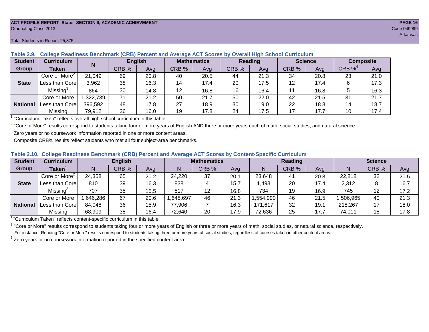#### **ACT PROFILE REPORT- State: SECTION II, ACADEMIC ACHIEVEMENT PAGE 16** Graduating Class 2013 Code 049999

| <b>Student</b>  | <b>Curriculum</b>         |           | <b>English</b> |      | <b>Mathematics</b> |      | Reading |      | <b>Science</b> |      | <b>Composite</b> |      |
|-----------------|---------------------------|-----------|----------------|------|--------------------|------|---------|------|----------------|------|------------------|------|
| Group           | Taken                     |           | CRB %          | Avg  | CRB %              | Avg  | CRB %   | Avg  | CRB %          | Ava  | $CRB\%4$         | Avg  |
|                 | Core or More <sup>2</sup> | 21,049    | 69             | 20.8 | 40                 | 20.5 | 44      | 21.3 | 34             | 20.8 | 23               | 21.0 |
| <b>State</b>    | Less than Corel           | 3,962     | 38             | 16.3 | 14                 | 17.4 | 20      | 17.5 | 12             | 17.4 | 6                | 17.3 |
|                 | Missing <sup>3</sup>      | 864       | 30             | 14.8 | 12                 | 16.8 | 16      | 16.4 | 11             | 16.8 |                  | 16.3 |
|                 | Core or More              | 1,322,739 | 71             | 21.2 | 50                 | 21.7 | 50      | 22.0 | 42             | 21.5 | 31               | 21.7 |
| <b>National</b> | Less than Corel           | 396,592   | 48             | 17.8 | 27                 | 18.9 | 30      | 19.0 | 22             | 18.8 | 14               | 18.7 |
|                 | Missing                   | 79,912    | 36             | 16.0 | 19                 | 17.8 | 24      | 17.5 | 17             | 17.7 | 10               | 17.4 |

**Table 2.9. College Readiness Benchmark (CRB) Percent and Average ACT Scores by Overall High School Curriculum**

1 "Curriculum Taken" reflects overall high school curriculum in this table.

 $^2$  "Core or More" results correspond to students taking four or more years of English AND three or more years each of math, social studies, and natural science.

 $3$  Zero years or no coursework information reported in one or more content areas.

 $4$  Composite CRB% results reflect students who met all four subject-area benchmarks.

| Table 2.10. College Readiness Benchmark (CRB) Percent and Average ACT Scores by Content-Specific Curriculum |
|-------------------------------------------------------------------------------------------------------------|
|-------------------------------------------------------------------------------------------------------------|

| <b>Student</b>  | Curriculum                    | <b>English</b> |       |      |         | <b>Mathematics</b><br><b>Reading</b> |      |          |       | <b>Science</b> |          |       |      |
|-----------------|-------------------------------|----------------|-------|------|---------|--------------------------------------|------|----------|-------|----------------|----------|-------|------|
| Group           | $\mathsf{Taken}^{\mathsf{T}}$ |                | CRB % | Avg  | N       | CRB %                                | Avg  | N        | CRB % | Avg            | N        | CRB % | Avg  |
|                 | Core or More <sup>2</sup>     | 24,358         | 65    | 20.2 | 24,220  | 37                                   | 20.1 | 23,648   | 41    | 20.8           | 22,818   | 32    | 20.5 |
| <b>State</b>    | Less than Corel               | 810            | 39    | 16.3 | 838     |                                      | 15.7 | .493     | 20    | 17.4           | 2,312    |       | 16.7 |
|                 | Missing <sup>3</sup>          | 707            | 35    | 15.5 | 817     | 12                                   | 16.8 | 734      | 19    | 16.9           | 745      | 12    | 17.2 |
|                 | Core or More                  | ,646,286       | 67    | 20.6 | 648,697 | 46                                   | 21.3 | .554,990 | 46    | 21.5           | ,506,965 | 40    | 21.3 |
| <b>National</b> | Less than Core                | 84,048         | 36    | 15.9 | 77,906  |                                      | 16.3 | 171,617  | 32    | 19.1           | 218,267  | 17    | 18.0 |
|                 | Missing                       | 68,909         | 38    | 16.4 | 72,640  | 20                                   | 17.9 | 72,636   | 25    | 17.7           | 74,011   | 18    | 17.8 |

<sup>1</sup>"Curriculum Taken" reflects content-specific curriculum in this table.

<sup>2</sup> "Core or More" results correspond to students taking four or more years of English or three or more years of math, social studies, or natural science, respectively. For instance, Reading "Core or More" results correspond to students taking three or more years of social studies, regardless of courses taken in other content areas.

 $3$  Zero years or no coursework information reported in the specified content area.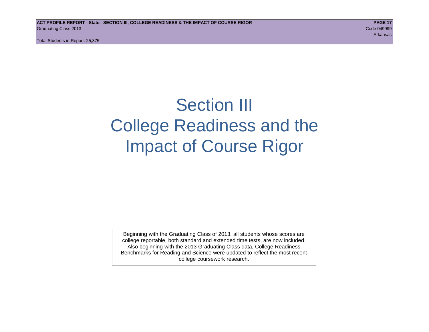# Section III College Readiness and the Impact of Course Rigor

Beginning with the Graduating Class of 2013, all students whose scores are college reportable, both standard and extended time tests, are now included. Also beginning with the 2013 Graduating Class data, College Readiness Benchmarks for Reading and Science were updated to reflect the most recent college coursework research.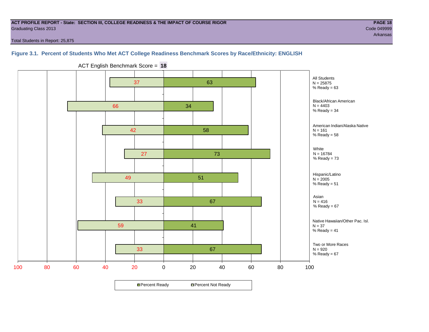#### **ACT PROFILE REPORT - State: SECTION III, COLLEGE READINESS & THE IMPACT OF COURSE RIGOR PAGE 18** Graduating Class 2013 Code 049999

Arkansas

Total Students in Report: 25,875

#### **Figure 3.1. Percent of Students Who Met ACT College Readiness Benchmark Scores by Race/Ethnicity: ENGLISH**



ACT English Benchmark Score = **18**

**□ Percent Ready DPercent Not Ready**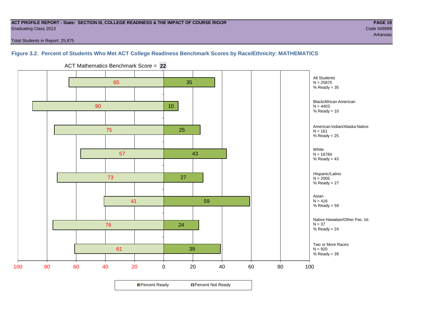#### **ACT PROFILE REPORT - State: SECTION III, COLLEGE READINESS & THE IMPACT OF COURSE RIGOR PAGE 19** Graduating Class 2013 Code 049999

Total Students in Report: 25,875

#### **Figure 3.2. Percent of Students Who Met ACT College Readiness Benchmark Scores by Race/Ethnicity: MATHEMATICS**



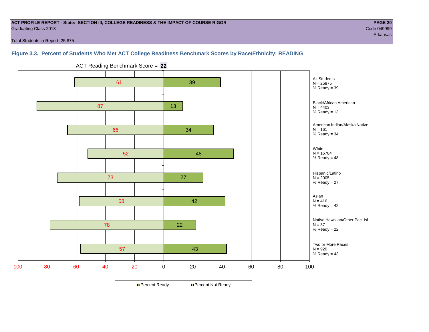#### **ACT PROFILE REPORT - State: SECTION III, COLLEGE READINESS & THE IMPACT OF COURSE RIGOR PAGE 20** Graduating Class 2013 Code 049999

Arkansas

Total Students in Report: 25,875

#### **Figure 3.3. Percent of Students Who Met ACT College Readiness Benchmark Scores by Race/Ethnicity: READING**



ACT Reading Benchmark Score = **22**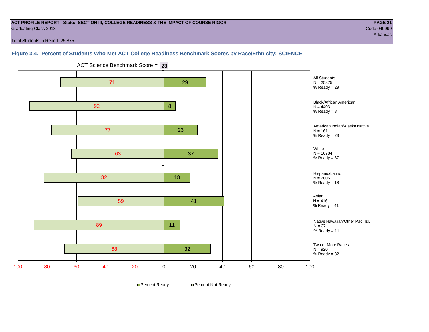#### **ACT PROFILE REPORT - State: SECTION III, COLLEGE READINESS & THE IMPACT OF COURSE RIGOR PAGE 21** Graduating Class 2013 Code 049999

Arkansas

Total Students in Report: 25,875

#### **Figure 3.4. Percent of Students Who Met ACT College Readiness Benchmark Scores by Race/Ethnicity: SCIENCE**

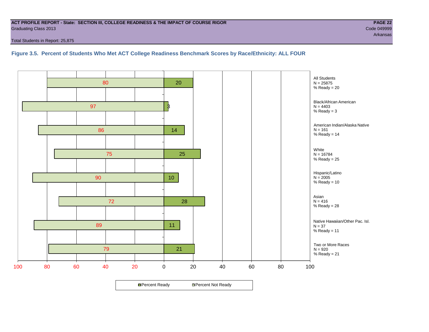#### **ACT PROFILE REPORT - State: SECTION III, COLLEGE READINESS & THE IMPACT OF COURSE RIGOR PAGE 22** Graduating Class 2013 Code 049999

Total Students in Report: 25,875

**Figure 3.5. Percent of Students Who Met ACT College Readiness Benchmark Scores by Race/Ethnicity: ALL FOUR**

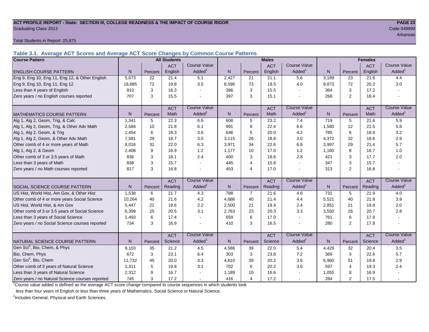#### **ACT PROFILE REPORT - State: SECTION III, COLLEGE READINESS & THE IMPACT OF COURSE RIGOR PAGE 23** Graduating Class 2013 Code 049999

Total Students in Report: 25,875

**Table 3.1. Average ACT Scores and Average ACT Score Changes by Common Course Patterns**

| <b>Course Pattern</b>                            |        |         | <b>All Students</b> |                          | <b>Males</b><br><b>Females</b> |                |            |                       |              |                |            |                        |
|--------------------------------------------------|--------|---------|---------------------|--------------------------|--------------------------------|----------------|------------|-----------------------|--------------|----------------|------------|------------------------|
|                                                  |        |         | <b>ACT</b>          | <b>Course Value</b>      |                                |                | <b>ACT</b> | <b>Course Value</b>   |              |                | <b>ACT</b> | <b>Course Value</b>    |
| <b>ENGLISH COURSE PATTERN</b>                    | N.     | Percent | English             | Added <sup>1</sup>       | $\mathsf{N}$                   | Percent        | English    | Added <sup>1</sup>    | $\mathsf{N}$ | Percent        | English    | A d d e d <sup>1</sup> |
| Eng 9, Eng 10, Eng 11, Eng 12, & Other English   | 5,673  | 22      | 21.4                | 5.1                      | 2,427                          | 21             | 21.1       | 5.6                   | 3,189        | 23             | 21.6       | 4.4                    |
| Eng 9, Eng 10, Eng 11, Eng 12                    | 18,685 | 72      | 19.8                | 3.5                      | 8,596                          | 73             | 19.5       | 4.0                   | 9,873        | 72             | 20.2       | 3.0                    |
| Less than 4 years of English                     | 810    | 3       | 16.3                |                          | 386                            | 3              | 15.5       | $\blacksquare$        | 364          | 3              | 17.2       |                        |
| Zero years / no English courses reported         | 707    | 3       | 15.5                |                          | 397                            | 3              | 15.1       |                       | 268          | $\overline{2}$ | 16.4       |                        |
|                                                  |        |         | <b>ACT</b>          | <b>Course Value</b>      |                                |                | <b>ACT</b> | <b>Course Value</b>   |              |                | <b>ACT</b> | <b>Course Value</b>    |
| <b>MATHEMATICS COURSE PATTERN</b>                | N.     | Percent | Math                | Added <sup>1</sup>       | N                              | Percent        | Math       | Added <sup>1</sup>    | N            | Percent        | Math       | A d d e d <sup>1</sup> |
| Alg 1, Alg 2, Geom, Trig, & Calc                 | 1,341  | 5       | 22.3                | 6.6                      | 608                            | 5              | 23.2       | 7.4                   | 719          | 5              | 21.6       | 5.9                    |
| Alg 1, Alg 2, Geom, Trig, & Other Adv Math       | 2,584  | 10      | 21.8                | 6.1                      | 991                            | 8              | 22.4       | 6.6                   | 1,580        | 12             | 21.5       | 5.8                    |
| Alg 1, Alg 2, Geom, & Trig                       | 1,454  | 6       | 19.3                | 3.6                      | 646                            | 5              | 20.0       | 4.2                   | 785          | 6              | 18.9       | 3.2                    |
| Alg 1, Alg 2, Geom, & Other Adv Math             | 7,581  | 29      | 18.7                | 3.0                      | 3,115                          | 26             | 18.8       | 3.0                   | 4,372        | 32             | 18.6       | 2.9                    |
| Other comb of 4 or more years of Math            | 8.016  | 31      | 22.0                | 6.3                      | 3,971                          | 34             | 22.6       | 6.8                   | 3,997        | 29             | 21.4       | 5.7                    |
| Alg 1, Alg 2, & Geom                             | 2,408  | 9       | 16.9                | 1.2                      | 1,177                          | 10             | 17.0       | 1.2                   | 1,160        | 8              | 16.7       | 1.0                    |
| Other comb of 3 or 3.5 years of Math             | 836    | 3       | 18.1                | 2.4                      | 400                            | 3              | 18.6       | 2.8                   | 421          | 3              | 17.7       | 2.0                    |
| Less than 3 years of Math                        | 838    | 3       | 15.7                |                          | 445                            | $\overline{4}$ | 15.8       | $\tilde{\phantom{a}}$ | 347          | 3              | 15.7       |                        |
| Zero years / no Math courses reported            | 817    | 3       | 16.8                |                          | 453                            | $\overline{4}$ | 17.0       | $\mathbf{r}$          | 313          | $\overline{2}$ | 16.8       |                        |
|                                                  |        |         | <b>ACT</b>          | <b>Course Value</b>      |                                |                | <b>ACT</b> | <b>Course Value</b>   |              |                | <b>ACT</b> | <b>Course Value</b>    |
| <b>SOCIAL SCIENCE COURSE PATTERN</b>             | N      | Percent | Reading             | $A d d e d$ <sup>1</sup> | N                              | Percent        | Reading    | Added <sup>1</sup>    | N            | Percent        | Reading    | A d d e d <sup>1</sup> |
| US Hist, World Hist, Am Gov, & Other Hist        | 1,538  | 6       | 21.7                | 4.3                      | 788                            | $\overline{7}$ | 21.6       | 4.6                   | 731          | 5              | 21.9       | 4.0                    |
| Other comb of 4 or more years Social Science     | 10,264 | 40      | 21.6                | 4.2                      | 4,686                          | 40             | 21.4       | 4.4                   | 5,521        | 40             | 21.8       | 3.9                    |
| US Hist, World Hist, & Am Gov                    | 5,447  | 21      | 19.6                | 2.2                      | 2,500                          | 21             | 19.4       | 2.4                   | 2,851        | 21             | 19.9       | 2.0                    |
| Other comb of 3 or 3.5 years of Social Science   | 6.399  | 25      | 20.5                | 3.1                      | 2,763                          | 23             | 20.3       | 3.3                   | 3,550        | 26             | 20.7       | 2.8                    |
| Less than 3 years of Social Science              | 1,493  | 6       | 17.4                |                          | 659                            | 6              | 17.0       | $\sim$                | 761          | 6              | 17.9       |                        |
| Zero years / no Social Science courses reported  | 734    | 3       | 16.9                |                          | 410                            | 3              | 16.5       | $\blacksquare$        | 280          | 2              | 17.8       |                        |
|                                                  |        |         | <b>ACT</b>          | <b>Course Value</b>      |                                |                | <b>ACT</b> | <b>Course Value</b>   |              |                | <b>ACT</b> | <b>Course Value</b>    |
| NATURAL SCIENCE COURSE PATTERN                   | N.     | Percent | Science             | Added <sup>1</sup>       | N                              | Percent        | Science    | Added <sup>1</sup>    | N            | Percent        | Science    | A d d e d <sup>1</sup> |
| Gen Sci <sup>2</sup> , Bio, Chem, & Phys         | 9,103  | 35      | 21.2                | 4.5                      | 4,586                          | 39             | 22.0       | 5.4                   | 4,429        | 32             | 20.4       | 3.5                    |
| Bio, Chem, Phys                                  | 672    | 3       | 23.1                | 6.4                      | 303                            | 3              | 23.8       | 7.2                   | 369          | 3              | 22.6       | 5.7                    |
| Gen Sci <sup>2</sup> , Bio, Chem                 | 11,732 | 45      | 20.0                | 3.3                      | 4,610                          | 39             | 20.2       | 3.6                   | 6,960        | 51             | 19.8       | 2.9                    |
| Other comb of 3 years of Natural Science         | 1,311  | 5       | 19.8                | 3.1                      | 702                            | 6              | 20.2       | 3.6                   | 597          | $\overline{4}$ | 19.3       | 2.4                    |
| Less than 3 years of Natural Science             | 2,312  | 9       | 16.7                |                          | 1,189                          | 10             | 16.6       |                       | 1,055        | 8              | 16.9       |                        |
| Zero years / no Natural Science courses reported | 745    | 3       | 17.2                |                          | 416                            | $\overline{4}$ | 17.2       |                       | 284          | $\overline{2}$ | 17.5       |                        |

<sup>1</sup>Course value added is defined as the average ACT score change compared to course sequences in which students took

less than four years of English or less than three years of Mathematics, Social Science or Natural Science.

<sup>2</sup>Includes General, Physical and Earth Sciences.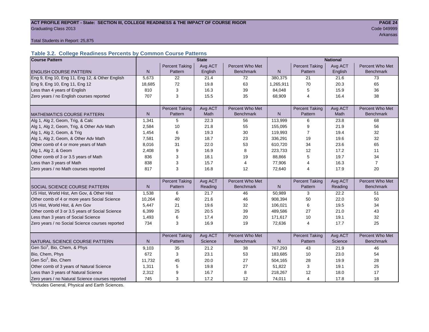#### ACT PROFILE REPORT - State: SECTION III, COLLEGE READINESS & THE IMPACT OF COURSE RIGOR **PAGE 24 Graduating Class 2013** Code 049999 Code 049999

Arkansas

Total Students in Report: 25,875

#### **Table 3.2. College Readiness Percents by Common Course Patterns**

| <b>Course Pattern</b>                            |        |                       | <b>State</b> |                  | <b>National</b> |                       |         |                  |  |  |
|--------------------------------------------------|--------|-----------------------|--------------|------------------|-----------------|-----------------------|---------|------------------|--|--|
|                                                  |        | <b>Percent Taking</b> | Avg ACT      | Percent Who Met  |                 | <b>Percent Taking</b> | Avg ACT | Percent Who Met  |  |  |
| <b>ENGLISH COURSE PATTERN</b>                    | N      | Pattern               | English      | <b>Benchmark</b> | $\mathsf{N}$    | Pattern               | English | <b>Benchmark</b> |  |  |
| Eng 9, Eng 10, Eng 11, Eng 12, & Other English   | 5,673  | 22                    | 21.4         | 72               | 380,375         | 21                    | 21.6    | 73               |  |  |
| Eng 9, Eng 10, Eng 11, Eng 12                    | 18,685 | 72                    | 19.8         | 63               | 1,265,911       | 70                    | 20.3    | 65               |  |  |
| Less than 4 years of English                     | 810    | 3                     | 16.3         | 39               | 84,048          | 5                     | 15.9    | 36               |  |  |
| Zero years / no English courses reported         | 707    | 3                     | 15.5         | 35               | 68,909          | $\overline{4}$        | 16.4    | 38               |  |  |
|                                                  |        |                       |              |                  |                 |                       |         |                  |  |  |
|                                                  |        | <b>Percent Taking</b> | Avg ACT      | Percent Who Met  |                 | <b>Percent Taking</b> | Avg ACT | Percent Who Met  |  |  |
| <b>MATHEMATICS COURSE PATTERN</b>                | N      | Pattern               | Math         | <b>Benchmark</b> | N               | Pattern               | Math    | <b>Benchmark</b> |  |  |
| Alg 1, Alg 2, Geom, Trig, & Calc                 | 1,341  | 5                     | 22.3         | 56               | 113,999         | 6                     | 23.8    | 68               |  |  |
| Alg 1, Alg 2, Geom, Trig, & Other Adv Math       | 2,584  | 10                    | 21.8         | 55               | 155,095         | 9                     | 21.9    | 56               |  |  |
| Alg 1, Alg 2, Geom, & Trig                       | 1,454  | 6                     | 19.3         | 30               | 119,993         | 7                     | 19.4    | 32               |  |  |
| Alg 1, Alg 2, Geom, & Other Adv Math             | 7,581  | 29                    | 18.7         | 23               | 336,291         | 19                    | 19.6    | 32               |  |  |
| Other comb of 4 or more years of Math            | 8,016  | 31                    | 22.0         | 53               | 610,720         | 34                    | 23.6    | 65               |  |  |
| Alg 1, Alg 2, & Geom                             | 2,408  | 9                     | 16.9         | 8                | 223,733         | 12                    | 17.2    | 11               |  |  |
| Other comb of 3 or 3.5 years of Math             | 836    | 3                     | 18.1         | 19               | 88,866          | 5                     | 19.7    | 34               |  |  |
| Less than 3 years of Math                        | 838    | 3                     | 15.7         | $\overline{4}$   | 77,906          | 4                     | 16.3    | $\overline{7}$   |  |  |
| Zero years / no Math courses reported            | 817    | 3                     | 16.8         | 12               | 72,640          | 4                     | 17.9    | 20               |  |  |
|                                                  |        |                       |              |                  |                 |                       |         |                  |  |  |
|                                                  |        | <b>Percent Taking</b> | Avg ACT      | Percent Who Met  |                 | Percent Taking        | Avg ACT | Percent Who Met  |  |  |
| <b>SOCIAL SCIENCE COURSE PATTERN</b>             | N      | Pattern               | Reading      | <b>Benchmark</b> | N               | Pattern               | Reading | <b>Benchmark</b> |  |  |
| US Hist, World Hist, Am Gov, & Other Hist        | 1,538  | 6                     | 21.7         | 46               | 50,989          | 3                     | 22.2    | 51               |  |  |
| Other comb of 4 or more years Social Science     | 10,264 | 40                    | 21.6         | 46               | 908,394         | 50                    | 22.0    | 50               |  |  |
| US Hist, World Hist, & Am Gov                    | 5,447  | 21                    | 19.6         | 32               | 106,021         | 6                     | 19.5    | 34               |  |  |
| Other comb of 3 or 3.5 years of Social Science   | 6,399  | 25                    | 20.5         | 39               | 489,586         | 27                    | 21.0    | 43               |  |  |
| Less than 3 years of Social Science              | 1,493  | 6                     | 17.4         | 20               | 171,617         | 10                    | 19.1    | 32               |  |  |
| Zero years / no Social Science courses reported  | 734    | 3                     | 16.9         | 19               | 72,636          | $\overline{4}$        | 17.7    | 25               |  |  |
|                                                  |        |                       |              |                  |                 |                       |         |                  |  |  |
|                                                  |        | <b>Percent Taking</b> | Avg ACT      | Percent Who Met  |                 | <b>Percent Taking</b> | Avg ACT | Percent Who Met  |  |  |
| NATURAL SCIENCE COURSE PATTERN                   | N      | Pattern               | Science      | <b>Benchmark</b> | N               | Pattern               | Science | <b>Benchmark</b> |  |  |
| Gen Sci <sup>1</sup> , Bio, Chem, & Phys         | 9,103  | 35                    | 21.2         | 38               | 767,293         | 43                    | 21.9    | 46               |  |  |
| Bio, Chem, Phys                                  | 672    | 3                     | 23.1         | 53               | 183,685         | 10                    | 23.0    | 54               |  |  |
| Gen Sci <sup>1</sup> , Bio, Chem                 | 11,732 | 45                    | 20.0         | 27               | 504,165         | 28                    | 19.9    | 28               |  |  |
| Other comb of 3 years of Natural Science         | 1,311  | 5                     | 19.8         | 27               | 51,822          | 3                     | 19.1    | 25               |  |  |
| Less than 3 years of Natural Science             | 2,312  | 9                     | 16.7         | 8                | 218,267         | 12                    | 18.0    | 17               |  |  |
| Zero years / no Natural Science courses reported | 745    | 3                     | 17.2         | 12               | 74,011          | $\overline{4}$        | 17.8    | 18               |  |  |

<sup>1</sup>Includes General, Physical and Earth Sciences.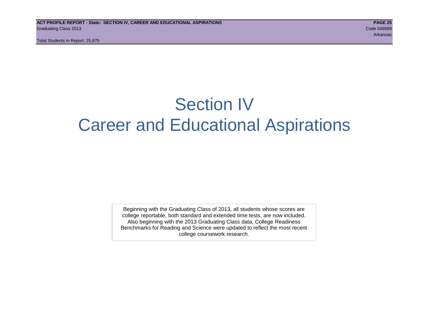# Section IV Career and Educational Aspirations

Beginning with the Graduating Class of 2013, all students whose scores are college reportable, both standard and extended time tests, are now included. Also beginning with the 2013 Graduating Class data, College Readiness Benchmarks for Reading and Science were updated to reflect the most recent college coursework research.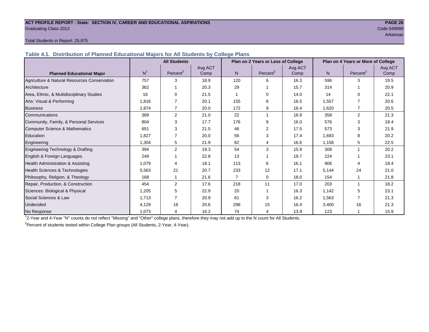#### **ACT PROFILE REPORT - State: SECTION IV, CAREER AND EDUCATIONAL ASPIRATIONS PAGE 26** Graduating Class 2013 Code 049999

Arkansas

#### Total Students in Report: 25,875

**Table 4.1. Distribution of Planned Educational Majors for All Students by College Plans**

|                                              |                | <b>All Students</b>  |         |                | Plan on 2 Years or Less of College |         | Plan on 4 Years or More of College |                      |         |  |
|----------------------------------------------|----------------|----------------------|---------|----------------|------------------------------------|---------|------------------------------------|----------------------|---------|--|
|                                              |                |                      | Avg ACT |                |                                    | Avg ACT |                                    |                      | Avg ACT |  |
| <b>Planned Educational Major</b>             | N <sup>1</sup> | Percent <sup>2</sup> | Comp    | N.             | Percent <sup>2</sup>               | Comp    | N                                  | Percent <sup>2</sup> | Comp    |  |
| Agriculture & Natural Resources Conservation | 757            | 3                    | 18.9    | 120            | 6                                  | 16.3    | 596                                | 3                    | 19.5    |  |
| Architecture                                 | 362            |                      | 20.3    | 29             |                                    | 15.7    | 314                                |                      | 20.9    |  |
| Area, Ethnic, & Multidisciplinary Studies    | 16             | $\Omega$             | 21.5    |                | 0                                  | 14.0    | 14                                 | $\Omega$             | 22.1    |  |
| Arts: Visual & Performing                    | 1,816          |                      | 20.1    | 155            | 8                                  | 16.5    | 1,557                              | 7                    | 20.6    |  |
| <b>Business</b>                              | 1.874          | 7                    | 20.0    | 172            | 9                                  | 16.4    | 1.620                              | 7                    | 20.5    |  |
| Communications                               | 389            | 2                    | 21.0    | 22             | 1                                  | 16.9    | 358                                | $\overline{2}$       | 21.3    |  |
| Community, Family, & Personal Services       | 804            | 3                    | 17.7    | 176            | 9                                  | 16.0    | 576                                | 3                    | 18.4    |  |
| Computer Science & Mathematics               | 651            | 3                    | 21.5    | 46             | 2                                  | 17.5    | 573                                | 3                    | 21.9    |  |
| <b>Education</b>                             | 1,827          | 7                    | 20.0    | 56             | 3                                  | 17.4    | 1,693                              | 8                    | 20.2    |  |
| Engineering                                  | 1,304          | 5                    | 21.9    | 82             | 4                                  | 16.6    | 1,158                              | 5                    | 22.5    |  |
| Engineering Technology & Drafting            | 394            | 2                    | 19.3    | 54             | 3                                  | 15.9    | 308                                |                      | 20.2    |  |
| English & Foreign Languages                  | 249            |                      | 22.8    | 13             |                                    | 19.7    | 224                                |                      | 23.1    |  |
| Health Administration & Assisting            | 1,079          |                      | 18.1    | 113            | 6                                  | 16.1    | 906                                | 4                    | 18.4    |  |
| Health Sciences & Technologies               | 5,563          | 21                   | 20.7    | 233            | 12                                 | 17.1    | 5,144                              | 24                   | 21.0    |  |
| Philosophy, Religion, & Theology             | 168            |                      | 21.6    | $\overline{7}$ | 0                                  | 18.0    | 154                                |                      | 21.8    |  |
| Repair, Production, & Construction           | 454            | 2                    | 17.6    | 218            | 11                                 | 17.0    | 203                                |                      | 18.2    |  |
| Sciences: Biological & Physical              | 1,205          | 5                    | 22.9    | 20             |                                    | 16.3    | 1,142                              | 5                    | 23.1    |  |
| Social Sciences & Law                        | 1,713          |                      | 20.9    | 61             | 3                                  | 16.2    | 1,563                              |                      | 21.3    |  |
| Undecided                                    | 4,129          | 16                   | 20.6    | 298            | 15                                 | 16.4    | 3,400                              | 16                   | 21.3    |  |
| No Response                                  | 1,073          | 4                    | 16.2    | 74             | 4                                  | 13.9    | 123                                |                      | 15.9    |  |

1 2-Year and 4-Year "N" counts do not reflect "Missing" and "Other" college plans, therefore they may not add up to the N count for All Students.

<sup>2</sup> Percent of students tested within College Plan groups (All Students, 2-Year, 4-Year).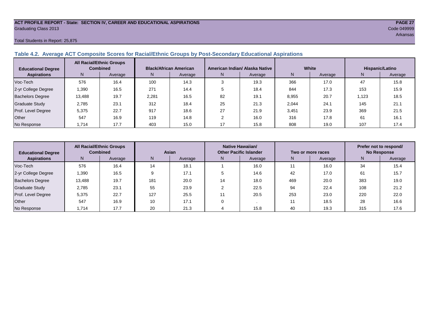#### **ACT PROFILE REPORT - State: SECTION IV, CAREER AND EDUCATIONAL ASPIRATIONS PAGE 27** Graduating Class 2013 Code 049999

#### Total Students in Report: 25,875

#### **Table 4.2. Average ACT Composite Scores for Racial/Ethnic Groups by Post-Secondary Educational Aspirations**

| <b>Educational Degree</b> | <b>All Racial/Ethnic Groups</b><br><b>Combined</b> |         | <b>Black/African American</b> |         |    | American Indian/ Alaska Native |       | White   | Hispanic/Latino |         |  |
|---------------------------|----------------------------------------------------|---------|-------------------------------|---------|----|--------------------------------|-------|---------|-----------------|---------|--|
| <b>Aspirations</b>        | N.                                                 | Average | N.                            | Average | N. | Average                        | N     | Average | N.              | Average |  |
| Voc-Tech                  | 576                                                | 16.4    | 100                           | 14.3    |    | 19.3                           | 366   | 17.0    | 47              | 15.8    |  |
| 2-yr College Degree       | 1,390                                              | 16.5    | 271                           | 14.4    |    | 18.4                           | 844   | 17.3    | 153             | 15.9    |  |
| <b>Bachelors Degree</b>   | 13,488                                             | 19.7    | 2,281                         | 16.5    | 82 | 19.1                           | 8,955 | 20.7    | .123            | 18.5    |  |
| <b>Graduate Study</b>     | 2.785                                              | 23.1    | 312                           | 18.4    | 25 | 21.3                           | 2,044 | 24.1    | 145             | 21.1    |  |
| Prof. Level Degree        | 5,375                                              | 22.7    | 917                           | 18.6    | 27 | 21.9                           | 3,451 | 23.9    | 369             | 21.5    |  |
| Other                     | 547                                                | 16.9    | 119                           | 14.8    |    | 16.0                           | 316   | 17.8    | 61              | 16.1    |  |
| No Response               | 1,714                                              | 17.7    | 403                           | 15.0    |    | 15.8                           | 808   | 19.0    | 107             | 17.4    |  |

| <b>Educational Degree</b> | <b>All Racial/Ethnic Groups</b><br><b>Combined</b> |         | Asian |         |               | Native Hawaiian/<br><b>Other Pacific Islander</b> |     | Two or more races | Prefer not to respond/<br><b>No Response</b> |         |  |
|---------------------------|----------------------------------------------------|---------|-------|---------|---------------|---------------------------------------------------|-----|-------------------|----------------------------------------------|---------|--|
| <b>Aspirations</b>        | N.                                                 | Average | N     | Average | Average<br>N. |                                                   | N   | Average           | N                                            | Average |  |
| Voc-Tech                  | 576                                                | 16.4    | 14    | 18.1    |               | 16.0                                              | 11  | 16.0              | 34                                           | 15.4    |  |
| 2-yr College Degree       | 1,390                                              | 16.5    | 9     | 17.1    |               | 14.6                                              | 42  | 17.0              | 61                                           | 15.7    |  |
| <b>Bachelors Degree</b>   | 13,488                                             | 19.7    | 181   | 20.0    | 14            | 18.0                                              | 469 | 20.0              | 383                                          | 19.0    |  |
| <b>Graduate Study</b>     | 2.785                                              | 23.1    | 55    | 23.9    |               | 22.5                                              | 94  | 22.4              | 108                                          | 21.2    |  |
| Prof. Level Degree        | 5,375                                              | 22.7    | 127   | 25.5    |               | 20.5                                              | 253 | 23.0              | 220                                          | 22.0    |  |
| Other                     | 547                                                | 16.9    | 10    | 17.1    |               |                                                   | 11  | 18.5              | 28                                           | 16.6    |  |
| No Response               | 1,714                                              | 17.7    | 20    | 21.3    |               | 15.8                                              | 40  | 19.3              | 315                                          | 17.6    |  |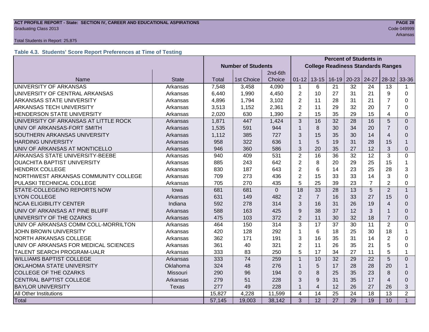### **ACT PROFILE REPORT - State: SECTION IV, CAREER AND EDUCATIONAL ASPIRATIONS PAGE 28** Graduating Class 2013 Code 049999

#### Total Students in Report: 25,875

#### **Table 4.3. Students' Score Report Preferences at Time of Testing**

|                                       |              |                           |            |          | <b>Percent of Students in</b> |                                           |                 |                       |                |                |                |
|---------------------------------------|--------------|---------------------------|------------|----------|-------------------------------|-------------------------------------------|-----------------|-----------------------|----------------|----------------|----------------|
|                                       |              | <b>Number of Students</b> |            |          |                               | <b>College Readiness Standards Ranges</b> |                 |                       |                |                |                |
|                                       |              |                           |            | 2nd-6th  |                               |                                           |                 |                       |                |                |                |
| Name                                  | <b>State</b> | Total                     | 1st Choice | Choice   | $01 - 12$                     |                                           |                 | 13-15   16-19   20-23 | 24-27          | $28-32$        | 33-36          |
| UNIVERSITY OF ARKANSAS                | Arkansas     | 7,548                     | 3,458      | 4,090    | $\mathbf{1}$                  | 6                                         | 21              | 32                    | 24             | 13             |                |
| UNIVERSITY OF CENTRAL ARKANSAS        | Arkansas     | 6,440                     | 1,990      | 4,450    | $\overline{2}$                | 10                                        | 27              | 31                    | 21             | 9              | 0              |
| ARKANSAS STATE UNIVERSITY             | Arkansas     | 4,896                     | 1,794      | 3,102    | 2                             | 11                                        | 28              | 31                    | 21             | 7              | 0              |
| ARKANSAS TECH UNIVERSITY              | Arkansas     | 3,513                     | 1,152      | 2,361    | $\overline{2}$                | 11                                        | 29              | 32                    | 20             | $\overline{7}$ | 0              |
| HENDERSON STATE UNIVERSITY            | Arkansas     | 2,020                     | 630        | 1,390    | $\overline{2}$                | 15                                        | 35              | 29                    | 15             | 4              | 0              |
| UNIVERSITY OF ARKANSAS AT LITTLE ROCK | Arkansas     | 1,871                     | 447        | 1,424    | 3                             | 16                                        | 32              | 28                    | 16             | 5              | $\Omega$       |
| UNIV OF ARKANSAS-FORT SMITH           | Arkansas     | 1,535                     | 591        | 944      | $\mathbf{1}$                  | 8                                         | 30              | 34                    | 20             | 7              | 0              |
| SOUTHERN ARKANSAS UNIVERSITY          | Arkansas     | 1,112                     | 385        | 727      | 3                             | 15                                        | 35              | 30                    | 14             | 4              | $\Omega$       |
| <b>HARDING UNIVERSITY</b>             | Arkansas     | 958                       | 322        | 636      | 1                             | 5                                         | 19              | 31                    | 28             | 15             |                |
| UNIV OF ARKANSAS AT MONTICELLO        | Arkansas     | 946                       | 360        | 586      | 3                             | 20                                        | 35              | 27                    | 12             | 3              | 0              |
| ARKANSAS STATE UNIVERSITY-BEEBE       | Arkansas     | 940                       | 409        | 531      | $\overline{2}$                | 16                                        | 36              | 32                    | 12             | 3              | 0              |
| <b>OUACHITA BAPTIST UNIVERSITY</b>    | Arkansas     | 885                       | 243        | 642      | $\overline{2}$                | 8                                         | 20              | 29                    | 25             | 15             | 1              |
| <b>HENDRIX COLLEGE</b>                | Arkansas     | 830                       | 187        | 643      | $\overline{2}$                | 6                                         | 14              | 23                    | 25             | 28             | 3              |
| NORTHWEST ARKANSAS COMMUNITY COLLEGE  | Arkansas     | 709                       | 273        | 436      | $\overline{2}$                | 15                                        | 33              | 33                    | 14             | 3              | $\Omega$       |
| PULASKI TECHNICAL COLLEGE             | Arkansas     | 705                       | 270        | 435      | 5                             | 25                                        | 39              | 23                    | $\overline{7}$ | $\overline{2}$ | 0              |
| STATE-COLLEGE/NO REPORTS NOW          | lowa         | 681                       | 681        | $\Omega$ | 18                            | 33                                        | 28              | 13                    | 5              | $\overline{2}$ | $\mathbf{1}$   |
| <b>LYON COLLEGE</b>                   | Arkansas     | 631                       | 149        | 482      | 2                             | $\overline{7}$                            | 16              | 33                    | 27             | 15             | 0              |
| <b>NCAA ELIGIBILITY CENTER</b>        | Indiana      | 592                       | 278        | 314      | 3                             | 16                                        | 31              | 26                    | 19             | 4              | 0              |
| UNIV OF ARKANSAS AT PINE BLUFF        | Arkansas     | 588                       | 163        | 425      | 9                             | 38                                        | 37              | 12                    | 3              |                | 0              |
| UNIVERSITY OF THE OZARKS              | Arkansas     | 475                       | 103        | 372      | $\overline{2}$                | 11                                        | 30              | 32                    | 18             | $\overline{7}$ | $\Omega$       |
| UNIV OF ARKANSAS COMM COLL-MORRILTON  | Arkansas     | 464                       | 150        | 314      | 3                             | 17                                        | 37              | 30                    | 11             | $\overline{2}$ | 0              |
| <b>JOHN BROWN UNIVERSITY</b>          | Arkansas     | 420                       | 128        | 292      | 1                             | 6                                         | 18              | 25                    | 30             | 18             | 1              |
| NORTH ARKANSAS COLLEGE                | Arkansas     | 362                       | 171        | 191      | 3                             | 16                                        | 35              | 31                    | 14             | $\overline{2}$ | 0              |
| UNIV OF ARKANSAS FOR MEDICAL SCIENCES | Arkansas     | 361                       | 40         | 321      | $\overline{2}$                | 11                                        | 26              | 35                    | 21             | 5              | 0              |
| <b>TALENT SEARCH PROGRAM-UALR</b>     | Arkansas     | 333                       | 83         | 250      | 5                             | 17                                        | 34              | 27                    | 11             | 5              | 1              |
| <b>WILLIAMS BAPTIST COLLEGE</b>       | Arkansas     | 333                       | 74         | 259      | $\mathbf{1}$                  | 10                                        | 32              | 29                    | 22             | 5              | $\Omega$       |
| OKLAHOMA STATE UNIVERSITY             | Oklahoma     | 324                       | 48         | 276      | $\mathbf{1}$                  | 5                                         | 17              | 28                    | 28             | 20             |                |
| <b>COLLEGE OF THE OZARKS</b>          | Missouri     | 290                       | 96         | 194      | 0                             | 8                                         | 25              | 35                    | 23             | 8              | $\Omega$       |
| <b>CENTRAL BAPTIST COLLEGE</b>        | Arkansas     | 279                       | 51         | 228      | 3                             | 9                                         | 31              | 35                    | 17             | 4              | $\Omega$       |
| <b>BAYLOR UNIVERSITY</b>              | Texas        | 277                       | 49         | 228      | $\mathbf 1$                   | $\overline{4}$                            | 12              | 26                    | 27             | 26             | 3              |
| All Other Institutions                |              | 15,827                    | 4,228      | 11,599   | 4                             | 14                                        | 25              | 24                    | 18             | 13             | $\overline{2}$ |
| Total                                 |              | 57,145                    | 19,003     | 38,142   | 3                             | $\overline{12}$                           | $\overline{27}$ | 29                    | 19             | 10             | $\mathbf{1}$   |

Arkansas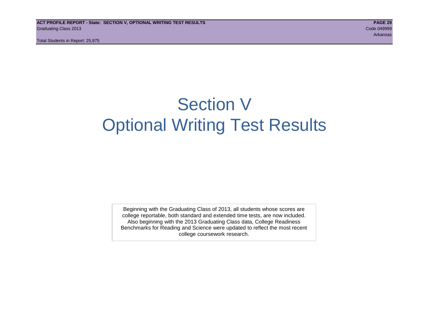# Section V Optional Writing Test Results

Beginning with the Graduating Class of 2013, all students whose scores are college reportable, both standard and extended time tests, are now included. Also beginning with the 2013 Graduating Class data, College Readiness Benchmarks for Reading and Science were updated to reflect the most recent college coursework research.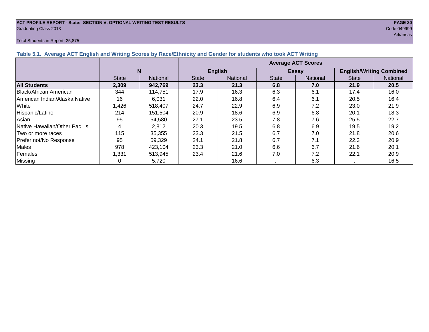#### **ACT PROFILE REPORT - State: SECTION V, OPTIONAL WRITING TEST RESULTS PAGE 30** Graduating Class 2013 Code 049999

#### Total Students in Report: 25,875

Arkansas at the control of the control of the control of the control of the control of the control of the control of the control of the control of the control of the control of the control of the control of the control of

| Table 5.1. Average ACT English and Writing Scores by Race/Ethnicity and Gender for students who took ACT Writing |              |          |                           |                 |              |              |                                 |          |  |  |  |  |
|------------------------------------------------------------------------------------------------------------------|--------------|----------|---------------------------|-----------------|--------------|--------------|---------------------------------|----------|--|--|--|--|
|                                                                                                                  |              |          | <b>Average ACT Scores</b> |                 |              |              |                                 |          |  |  |  |  |
|                                                                                                                  |              | N        |                           | <b>English</b>  |              | <b>Essay</b> | <b>English/Writing Combined</b> |          |  |  |  |  |
|                                                                                                                  | <b>State</b> | National | <b>State</b>              | <b>National</b> | <b>State</b> | National     | <b>State</b>                    | National |  |  |  |  |
| <b>All Students</b>                                                                                              | 2,309        | 942,769  | 23.3                      | 21.3            | 6.8          | 7.0          | 21.9                            | 20.5     |  |  |  |  |
| <b>IBlack/African American</b>                                                                                   | 344          | 114.751  | 17.9                      | 16.3            | 6.3          | 6.1          | 17.4                            | 16.0     |  |  |  |  |
| American Indian/Alaska Native                                                                                    | 16           | 6,031    | 22.0                      | 16.8            | 6.4          | 6.1          | 20.5                            | 16.4     |  |  |  |  |
| White                                                                                                            | ,426         | 518,407  | 24.7                      | 22.9            | 6.9          | 7.2          | 23.0                            | 21.9     |  |  |  |  |
| Hispanic/Latino                                                                                                  | 214          | 151,504  | 20.9                      | 18.6            | 6.9          | 6.8          | 20.1                            | 18.3     |  |  |  |  |
| Asian                                                                                                            | 95           | 54,580   | 27.1                      | 23.5            | 7.8          | 7.6          | 25.5                            | 22.7     |  |  |  |  |
| Native Hawaiian/Other Pac. Isl.                                                                                  |              | 2,812    | 20.3                      | 19.5            | 6.8          | 6.9          | 19.5                            | 19.2     |  |  |  |  |
| <b>Two or more races</b>                                                                                         | 115          | 35,355   | 23.3                      | 21.5            | 6.7          | 7.0          | 21.8                            | 20.6     |  |  |  |  |
| Prefer not/No Response                                                                                           | 95           | 59,329   | 24.1                      | 21.8            | 6.7          | 7.1          | 22.3                            | 20.9     |  |  |  |  |
| Males                                                                                                            | 978          | 423,104  | 23.3                      | 21.0            | 6.6          | 6.7          | 21.6                            | 20.1     |  |  |  |  |
| Females                                                                                                          | 1,331        | 513,945  | 23.4                      | 21.6            | 7.0          | 7.2          | 22.1                            | 20.9     |  |  |  |  |
| Missing                                                                                                          |              | 5,720    |                           | 16.6            |              | 6.3          |                                 | 16.5     |  |  |  |  |